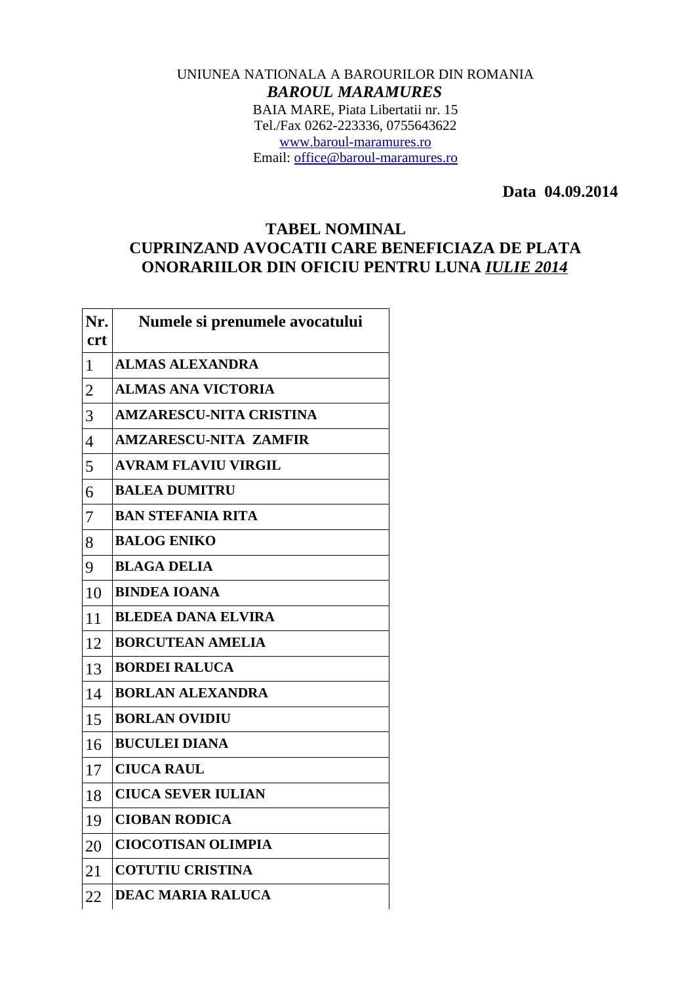## UNIUNEA NATIONALA A BAROURILOR DIN ROMANIA *BAROUL MARAMURES* BAIA MARE, Piata Libertatii nr. 15 Tel./Fax 0262-223336, 0755643622 [www.baroul-maramures.ro](http://www.baroul-maramures.ro/) Email: [office@baroul-maramures.ro](mailto:office@baroul-maramures.ro)

 **Data 04.09.2014**

## **TABEL NOMINAL CUPRINZAND AVOCATII CARE BENEFICIAZA DE PLATA ONORARIILOR DIN OFICIU PENTRU LUNA** *IULIE 2014*

| Nr.            | Numele si prenumele avocatului |
|----------------|--------------------------------|
| <b>crt</b>     |                                |
| $\mathbf{1}$   | <b>ALMAS ALEXANDRA</b>         |
| $\overline{2}$ | <b>ALMAS ANA VICTORIA</b>      |
| 3              | <b>AMZARESCU-NITA CRISTINA</b> |
| $\overline{4}$ | <b>AMZARESCU-NITA ZAMFIR</b>   |
| 5              | <b>AVRAM FLAVIU VIRGIL</b>     |
| 6              | <b>BALEA DUMITRU</b>           |
| 7              | <b>BAN STEFANIA RITA</b>       |
| 8              | <b>BALOG ENIKO</b>             |
| 9              | <b>BLAGA DELIA</b>             |
| 10             | <b>BINDEA IOANA</b>            |
| 11             | <b>BLEDEA DANA ELVIRA</b>      |
| 12             | <b>BORCUTEAN AMELIA</b>        |
| 13             | <b>BORDEI RALUCA</b>           |
| 14             | <b>BORLAN ALEXANDRA</b>        |
| 15             | <b>BORLAN OVIDIU</b>           |
| 16             | <b>BUCULEI DIANA</b>           |
| 17             | <b>CIUCA RAUL</b>              |
| 18             | <b>CIUCA SEVER IULIAN</b>      |
| 19             | <b>CIOBAN RODICA</b>           |
| 20             | <b>CIOCOTISAN OLIMPIA</b>      |
| 21             | <b>COTUTIU CRISTINA</b>        |
| 22             | <b>DEAC MARIA RALUCA</b>       |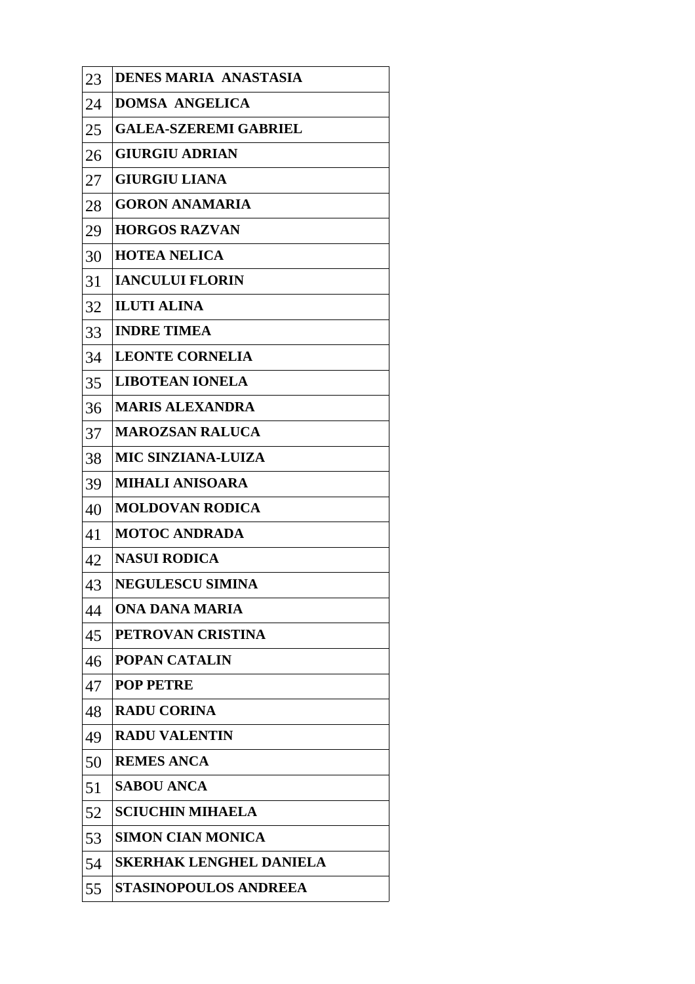| 23 | <b>DENES MARIA ANASTASIA</b>   |
|----|--------------------------------|
| 24 | <b>DOMSA ANGELICA</b>          |
| 25 | <b>GALEA-SZEREMI GABRIEL</b>   |
| 26 | <b>GIURGIU ADRIAN</b>          |
| 27 | <b>GIURGIU LIANA</b>           |
| 28 | <b>GORON ANAMARIA</b>          |
| 29 | <b>HORGOS RAZVAN</b>           |
| 30 | <b>HOTEA NELICA</b>            |
| 31 | <b>IANCULUI FLORIN</b>         |
| 32 | <b>ILUTI ALINA</b>             |
| 33 | <b>INDRE TIMEA</b>             |
| 34 | <b>LEONTE CORNELIA</b>         |
| 35 | <b>LIBOTEAN IONELA</b>         |
| 36 | <b>MARIS ALEXANDRA</b>         |
| 37 | <b>MAROZSAN RALUCA</b>         |
| 38 | <b>MIC SINZIANA-LUIZA</b>      |
| 39 | <b>MIHALI ANISOARA</b>         |
| 40 | <b>MOLDOVAN RODICA</b>         |
| 41 | <b>MOTOC ANDRADA</b>           |
| 42 | <b>NASUI RODICA</b>            |
| 43 | <b>NEGULESCU SIMINA</b>        |
| 44 | ONA DANA MARIA                 |
| 45 | PETROVAN CRISTINA              |
| 46 | <b>POPAN CATALIN</b>           |
| 47 | <b>POP PETRE</b>               |
| 48 | <b>RADU CORINA</b>             |
| 49 | <b>RADU VALENTIN</b>           |
| 50 | <b>REMES ANCA</b>              |
| 51 | <b>SABOU ANCA</b>              |
| 52 | <b>SCIUCHIN MIHAELA</b>        |
| 53 | <b>SIMON CIAN MONICA</b>       |
| 54 | <b>SKERHAK LENGHEL DANIELA</b> |
| 55 | <b>STASINOPOULOS ANDREEA</b>   |